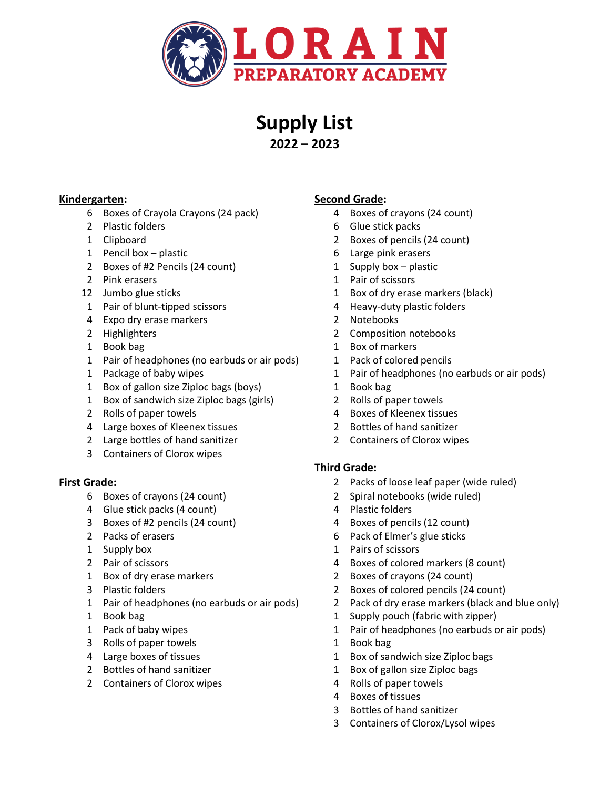

# **Supply List 2022 – 2023**

- 6 Boxes of Crayola Crayons (24 pack) 4 Boxes of crayons (24 count)
- 2 Plastic folders 6 Glue stick packs
- 
- 1 Pencil box plastic 6 Large pink erasers
- 2 Boxes of #2 Pencils (24 count) 1 Supply box plastic
- 
- 
- 1 Pair of blunt-tipped scissors 4 Heavy-duty plastic folders
- 4 Expo dry erase markers 2 Notebooks
- 
- 
- 1 Pair of headphones (no earbuds or air pods) 1 Pack of colored pencils
- 
- 1 Box of gallon size Ziploc bags (boys) 1 Book bag
- 1 Box of sandwich size Ziploc bags (girls) 2 Rolls of paper towels
- 
- 4 Large boxes of Kleenex tissues 2 Bottles of hand sanitizer
- 2 Large bottles of hand sanitizer 2 Containers of Clorox wipes
- 3 Containers of Clorox wipes

- 
- 4 Glue stick packs (4 count) 4 Plastic folders
- 3 Boxes of #2 pencils (24 count) 4 Boxes of pencils (12 count)
- 
- 
- 
- 
- 
- 
- 
- 
- 3 Rolls of paper towels 1 Book bag
- 
- 
- 2 Containers of Clorox wipes 120 million of the Rolls of paper towels

## **Kindergarten: Second Grade:**

- 
- 
- 1 Clipboard 2 Boxes of pencils (24 count)
	-
	-
- 2 Pink erasers 2 Pink erasers 2 Pair of scissors
- 12 Jumbo glue sticks 1 Box of dry erase markers (black)
	-
	-
- 2 Highlighters 2 Composition notebooks
- 1 Book bag 1 Box of markers
	-
- 1 Package of baby wipes 1 Pair of headphones (no earbuds or air pods)
	-
	-
- 2 Rolls of paper towels 2 Rolls of paper towels 2 Rolls of Kleenex tissues
	-
	-

## **Third Grade:**

- **First Grade:** 2 Packs of loose leaf paper (wide ruled)
	- 6 Boxes of crayons (24 count) 2 Spiral notebooks (wide ruled)
		-
		-
	- 2 Packs of erasers **6 Pack of Elmer's glue sticks**
	- 1 Supply box 1 Pairs of scissors
	- 2 Pair of scissors 4 Boxes of colored markers (8 count)
	- 1 Box of dry erase markers 2 Boxes of crayons (24 count)
	- 3 Plastic folders 2 Boxes of colored pencils (24 count)
	- 1 Pair of headphones (no earbuds or air pods) 2 Pack of dry erase markers (black and blue only)
	- 1 Book bag 1 Supply pouch (fabric with zipper)
	- 1 Pack of baby wipes 1 Pair of headphones (no earbuds or air pods)
		-
	- 4 Large boxes of tissues 1 Box of sandwich size Ziploc bags
	- 2 Bottles of hand sanitizer 1 Box of gallon size Ziploc bags
		-
		- 4 Boxes of tissues
		- 3 Bottles of hand sanitizer
		- 3 Containers of Clorox/Lysol wipes